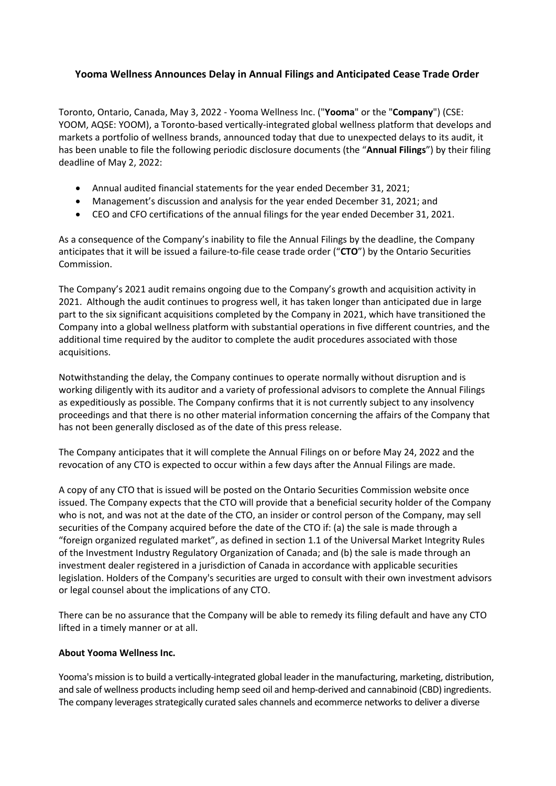## **Yooma Wellness Announces Delay in Annual Filings and Anticipated Cease Trade Order**

Toronto, Ontario, Canada, May 3, 2022 - Yooma Wellness Inc. ("**Yooma**" or the "**Company**") (CSE: YOOM, AQSE: YOOM), a Toronto-based vertically-integrated global wellness platform that develops and markets a portfolio of wellness brands, announced today that due to unexpected delays to its audit, it has been unable to file the following periodic disclosure documents (the "**Annual Filings**") by their filing deadline of May 2, 2022:

- Annual audited financial statements for the year ended December 31, 2021;
- Management's discussion and analysis for the year ended December 31, 2021; and
- CEO and CFO certifications of the annual filings for the year ended December 31, 2021.

As a consequence of the Company's inability to file the Annual Filings by the deadline, the Company anticipates that it will be issued a failure-to-file cease trade order ("**CTO**") by the Ontario Securities Commission.

The Company's 2021 audit remains ongoing due to the Company's growth and acquisition activity in 2021. Although the audit continues to progress well, it has taken longer than anticipated due in large part to the six significant acquisitions completed by the Company in 2021, which have transitioned the Company into a global wellness platform with substantial operations in five different countries, and the additional time required by the auditor to complete the audit procedures associated with those acquisitions.

Notwithstanding the delay, the Company continues to operate normally without disruption and is working diligently with its auditor and a variety of professional advisors to complete the Annual Filings as expeditiously as possible. The Company confirms that it is not currently subject to any insolvency proceedings and that there is no other material information concerning the affairs of the Company that has not been generally disclosed as of the date of this press release.

The Company anticipates that it will complete the Annual Filings on or before May 24, 2022 and the revocation of any CTO is expected to occur within a few days after the Annual Filings are made.

A copy of any CTO that is issued will be posted on the Ontario Securities Commission website once issued. The Company expects that the CTO will provide that a beneficial security holder of the Company who is not, and was not at the date of the CTO, an insider or control person of the Company, may sell securities of the Company acquired before the date of the CTO if: (a) the sale is made through a "foreign organized regulated market", as defined in section 1.1 of the Universal Market Integrity Rules of the Investment Industry Regulatory Organization of Canada; and (b) the sale is made through an investment dealer registered in a jurisdiction of Canada in accordance with applicable securities legislation. Holders of the Company's securities are urged to consult with their own investment advisors or legal counsel about the implications of any CTO.

There can be no assurance that the Company will be able to remedy its filing default and have any CTO lifted in a timely manner or at all.

## **About Yooma Wellness Inc.**

Yooma's mission is to build a vertically-integrated global leader in the manufacturing, marketing, distribution, and sale of wellness products including hemp seed oil and hemp-derived and cannabinoid (CBD) ingredients. The company leverages strategically curated sales channels and ecommerce networks to deliver a diverse